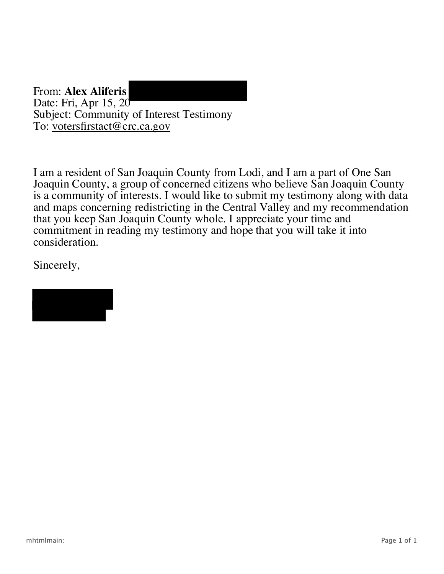From: **Alex Aliferis** Date: Fri, Apr 15, 20 Subject: Community of Interest Testimony To: <u>votersfirstact@crc.ca.gov</u>

I am a resident of San Joaquin County from Lodi, and I am a part of One San Joaquin County, a group of concerned citizens who believe San Joaquin County is a community of interests. I would like to submit my testimony along with data and maps concerning redistricting in the Central Valley and my recommendation that you keep San Joaquin County whole. I appreciate your time and commitment in reading my testimony and hope that you will take it into consideration.

Sincerely,

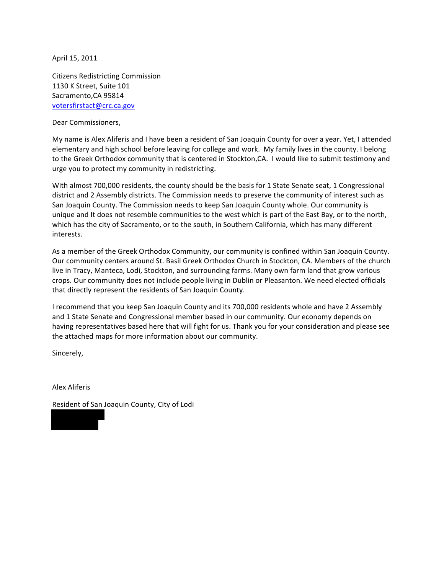April 15, 2011

Citizens Redistricting Commission 1130 K Street, Suite 101 Sacramento, CA 95814 votersfirstact@crc.ca.gov

Dear Commissioners,

My name is Alex Aliferis and I have been a resident of San Joaquin County for over a year. Yet, I attended elementary and high school before leaving for college and work. My family lives in the county. I belong to the Greek Orthodox community that is centered in Stockton,CA. I would like to submit testimony and urge you to protect my community in redistricting.

With almost 700,000 residents, the county should be the basis for 1 State Senate seat, 1 Congressional district and 2 Assembly districts. The Commission needs to preserve the community of interest such as San Joaquin County. The Commission needs to keep San Joaquin County whole. Our community is unique and It does not resemble communities to the west which is part of the East Bay, or to the north, which has the city of Sacramento, or to the south, in Southern California, which has many different interests.

As a member of the Greek Orthodox Community, our community is confined within San Joaquin County. Our community centers around St. Basil Greek Orthodox Church in Stockton, CA. Members of the church live in Tracy, Manteca, Lodi, Stockton, and surrounding farms. Many own farm land that grow various crops. Our community does not include people living in Dublin or Pleasanton. We need elected officials that directly represent the residents of San Joaquin County.

I recommend that you keep San Joaquin County and its 700,000 residents whole and have 2 Assembly and 1 State Senate and Congressional member based in our community. Our economy depends on having representatives based here that will fight for us. Thank you for your consideration and please see the attached maps for more information about our community.

Sincerely,

Alex&Aliferis

Resident of San Joaquin County, City of Lodi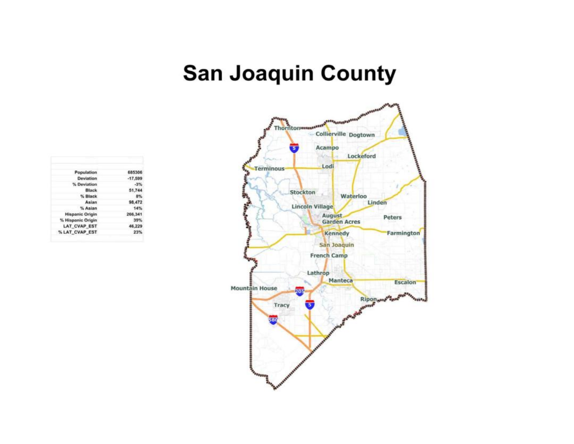## **San Joaquin County**



| 685306    | Population             |
|-----------|------------------------|
| $-17,599$ | Deviation              |
| $-3%$     | % Deviation            |
| 51,744    | Black                  |
| 8%        | % Black                |
| 98.472    | Asian                  |
| 14%       | % Asian                |
| 266,341   | <b>Hispanic Origin</b> |
| 39%       | % Hispanic Origin      |
| 46.229    | <b>LAT CVAP EST</b>    |
| 23%       | % LAT CVAP EST         |